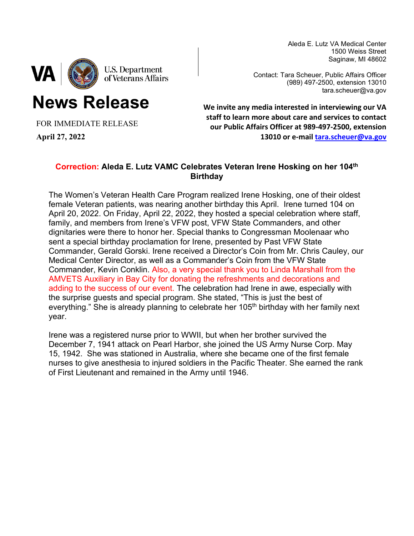Aleda E. Lutz VA Medical Center 1500 Weiss Street Saginaw, MI 48602



**News Release**

Contact: Tara Scheuer, Public Affairs Officer (989) 497-2500, extension 13010 tara.scheuer@va.gov

FOR IMMEDIATE RELEASE

**April 27, 2022**

**We invite any media interested in interviewing our VA staff to learn more about care and services to contact our Public Affairs Officer at 989-497-2500, extension 13010 or e-mail [tara.scheuer@va.gov](mailto:tara.scheuer@va.gov)**

## **Correction: Aleda E. Lutz VAMC Celebrates Veteran Irene Hosking on her 104th Birthday**

The Women's Veteran Health Care Program realized Irene Hosking, one of their oldest female Veteran patients, was nearing another birthday this April. Irene turned 104 on April 20, 2022. On Friday, April 22, 2022, they hosted a special celebration where staff, family, and members from Irene's VFW post, VFW State Commanders, and other dignitaries were there to honor her. Special thanks to Congressman Moolenaar who sent a special birthday proclamation for Irene, presented by Past VFW State Commander, Gerald Gorski. Irene received a Director's Coin from Mr. Chris Cauley, our Medical Center Director, as well as a Commander's Coin from the VFW State Commander, Kevin Conklin. Also, a very special thank you to Linda Marshall from the AMVETS Auxiliary in Bay City for donating the refreshments and decorations and adding to the success of our event. The celebration had Irene in awe, especially with the surprise guests and special program. She stated, "This is just the best of everything." She is already planning to celebrate her 105<sup>th</sup> birthday with her family next year.

Irene was a registered nurse prior to WWII, but when her brother survived the December 7, 1941 attack on Pearl Harbor, she joined the US Army Nurse Corp. May 15, 1942. She was stationed in Australia, where she became one of the first female nurses to give anesthesia to injured soldiers in the Pacific Theater. She earned the rank of First Lieutenant and remained in the Army until 1946.